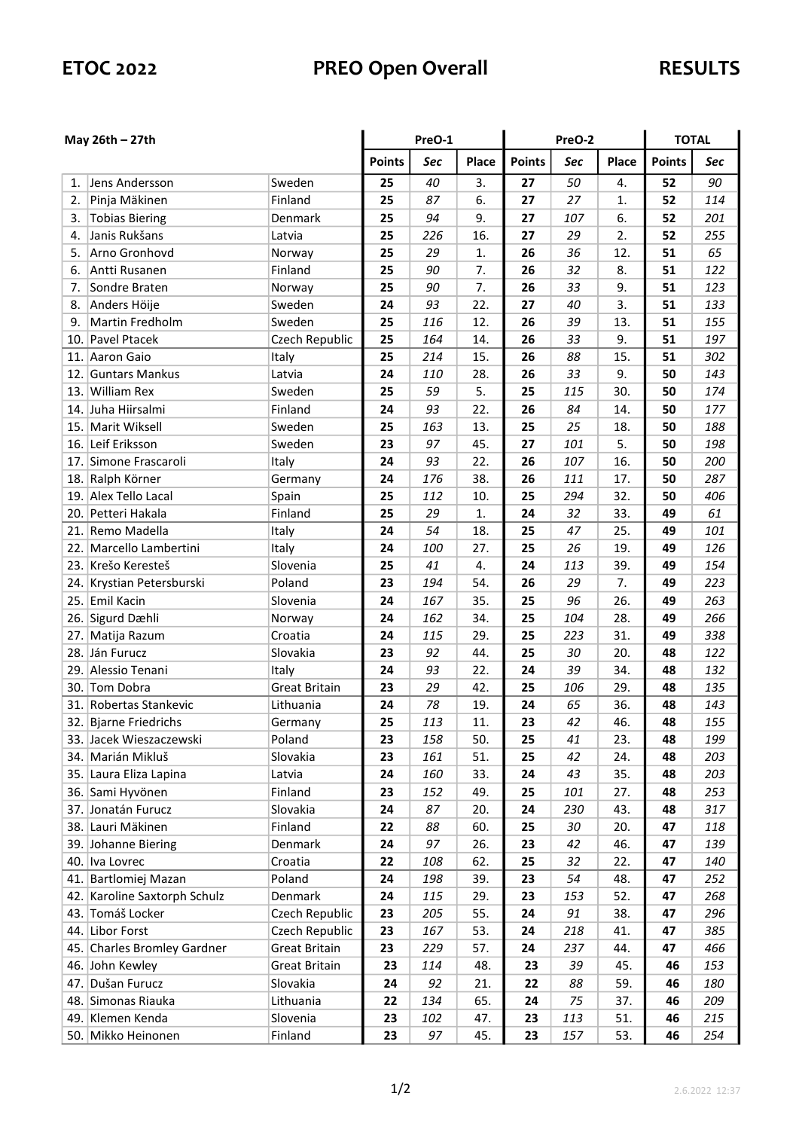## ETOC 2022 PREO Open Overall RESULTS

| May $26th - 27th$ |                                        |                       | PreO-1        |            |              | PreO-2        |            |            | <b>TOTAL</b>  |            |
|-------------------|----------------------------------------|-----------------------|---------------|------------|--------------|---------------|------------|------------|---------------|------------|
|                   |                                        |                       | <b>Points</b> | Sec        | <b>Place</b> | <b>Points</b> | Sec        | Place      | <b>Points</b> | Sec        |
| 1.                | Jens Andersson                         | Sweden                | 25            | 40         | 3.           | 27            | 50         | 4.         | 52            | 90         |
| 2.                | Pinja Mäkinen                          | Finland               | 25            | 87         | 6.           | 27            | 27         | 1.         | 52            | 114        |
| 3.                | <b>Tobias Biering</b>                  | Denmark               | 25            | 94         | 9.           | 27            | 107        | 6.         | 52            | 201        |
| 4.                | Janis Rukšans                          | Latvia                | 25            | 226        | 16.          | 27            | 29         | 2.         | 52            | 255        |
| 5.                | Arno Gronhovd                          | Norway                | 25            | 29         | 1.           | 26            | 36         | 12.        | 51            | 65         |
| 6.                | Antti Rusanen                          | Finland               | 25            | 90         | 7.           | 26            | 32         | 8.         | 51            | 122        |
| 7.                | Sondre Braten                          | Norway                | 25            | 90         | 7.           | 26            | 33         | 9.         | 51            | 123        |
| 8.                | Anders Höije                           | Sweden                | 24            | 93         | 22.          | 27            | 40         | 3.         | 51            | 133        |
| 9.                | Martin Fredholm                        | Sweden                | 25            | 116        | 12.          | 26            | 39         | 13.        | 51            | 155        |
|                   | 10. Pavel Ptacek                       | Czech Republic        | 25            | 164        | 14.          | 26            | 33         | 9.         | 51            | 197        |
|                   | 11. Aaron Gaio                         | Italy                 | 25            | 214        | 15.          | 26            | 88         | 15.        | 51            | 302        |
|                   | 12. Guntars Mankus                     | Latvia                | 24            | 110        | 28.          | 26            | 33         | 9.         | 50            | 143        |
|                   | 13. William Rex                        | Sweden                | 25            | 59         | 5.           | 25            | 115        | 30.        | 50            | 174        |
|                   | 14. Juha Hiirsalmi                     | Finland               | 24            | 93         | 22.          | 26            | 84         | 14.        | 50            | 177        |
|                   | 15. Marit Wiksell                      | Sweden                | 25            | 163        | 13.          | 25            | 25         | 18.        | 50            | 188        |
|                   | 16. Leif Eriksson                      | Sweden                | 23            | 97         | 45.          | 27            | 101        | 5.         | 50            | 198        |
|                   | 17. Simone Frascaroli                  | Italy                 | 24            | 93         | 22.          | 26            | 107        | 16.        | 50            | 200        |
|                   | 18. Ralph Körner                       | Germany               | 24            | 176        | 38.          | 26            | 111        | 17.        | 50            | 287        |
|                   | 19. Alex Tello Lacal                   | Spain                 | 25            | 112        | 10.          | 25            | 294        | 32.        | 50            | 406        |
|                   | 20. Petteri Hakala                     | Finland               | 25            | 29         | 1.           | 24            | 32         | 33.        | 49            | 61         |
|                   | 21. Remo Madella                       | Italy                 | 24            | 54         | 18.          | 25            | 47         | 25.        | 49            | 101        |
| 22.               | Marcello Lambertini                    | Italy                 | 24            | 100        | 27.          | 25            | 26         | 19.        | 49            | 126        |
|                   | 23. Krešo Keresteš                     | Slovenia              | 25            | 41         | 4.           | 24            | 113        | 39.        | 49            | 154        |
|                   | 24. Krystian Petersburski              | Poland                | 23            | 194        | 54.          | 26            | 29         | 7.         | 49            | 223        |
|                   | 25. Emil Kacin                         | Slovenia              | 24            | 167        | 35.          | 25            | 96         | 26.        | 49            | 263        |
|                   | 26. Sigurd Dæhli                       | Norway                | 24            | 162        | 34.          | 25            | 104        | 28.        | 49            | 266        |
| 27.               | Matija Razum                           | Croatia               | 24            | 115        | 29.          | 25            | 223        | 31.        | 49            | 338        |
|                   | 28. Ján Furucz                         | Slovakia              | 23            | 92         | 44.          | 25            | 30         | 20.        | 48            | 122        |
| 29.               | Alessio Tenani                         | Italy                 | 24            | 93         | 22.          | 24            | 39         | 34.        | 48            | 132        |
|                   | 30. Tom Dobra                          | <b>Great Britain</b>  | 23            | 29         | 42.          | 25            | 106        | 29.        | 48            | 135        |
| 31.               | Robertas Stankevic                     | Lithuania             | 24            | 78         | 19.          | 24            | 65         | 36.        | 48            | 143        |
|                   | 32. Bjarne Friedrichs                  | Germany               | 25            | 113        | 11.          | 23            | 42         | 46.        | 48            | 155        |
|                   | 33. Jacek Wieszaczewski                | Poland                | 23            | 158        | 50.          | 25            | 41         | 23.        | 48            | 199        |
|                   | 34. Marián Mikluš                      | Slovakia              | 23            | 161        | 51.          | 25            | 42         | 24.        | 48            | 203        |
|                   | 35. Laura Eliza Lapina                 | Latvia                | 24            | 160        | 33.          | 24            | 43         | 35.        | 48            | 203        |
|                   | 36. Sami Hyvönen                       | Finland               | 23            | 152        | 49.          | 25            | 101        | 27.        | 48            | 253        |
|                   | 37. Jonatán Furucz                     | Slovakia              | 24            | 87         | 20.          | 24            | 230        | 43.        | 48            | 317        |
|                   | 38. Lauri Mäkinen                      | Finland               | 22            | 88         | 60.          | 25            | 30         | 20.        | 47            | 118        |
|                   | 39. Johanne Biering                    | Denmark               | 24            | 97         | 26.          | 23            | 42         | 46.        | 47            | 139        |
|                   | 40. Iva Lovrec                         | Croatia               | 22            | 108        | 62.          | 25            | 32         | 22.        | 47            | 140        |
|                   | 41. Bartlomiej Mazan                   | Poland                | 24            | 198        | 39.          | 23            | 54         | 48.        | 47            | 252        |
|                   | 42. Karoline Saxtorph Schulz           | Denmark               | 24            | 115        | 29.          | 23            | 153        | 52.        | 47            | 268        |
|                   | 43. Tomáš Locker                       | Czech Republic        | 23            | 205        | 55.          | 24            | 91         | 38.        | 47            | 296        |
|                   | 44. Libor Forst                        | Czech Republic        | 23            | 167        | 53.          | 24            | 218        | 41.        | 47            | 385        |
|                   | 45. Charles Bromley Gardner            | <b>Great Britain</b>  | 23            | 229        | 57.          | 24            | 237        | 44.        | 47            | 466        |
|                   | 46. John Kewley                        | <b>Great Britain</b>  | 23            | 114        | 48.          | 23            | 39         | 45.        | 46            | 153        |
|                   | Dušan Furucz                           | Slovakia              |               |            |              |               |            |            |               |            |
| 47.               |                                        |                       | 24            | 92         | 21.          | 22            | 88         | 59.        | 46            | 180        |
|                   | 48. Simonas Riauka                     | Lithuania<br>Slovenia | 22            | 134<br>102 | 65.          | 24            | 75         | 37.        | 46<br>46      | 209        |
|                   | 49. Klemen Kenda<br>50. Mikko Heinonen | Finland               | 23<br>23      | 97         | 47.<br>45.   | 23<br>23      | 113<br>157 | 51.<br>53. | 46            | 215<br>254 |
|                   |                                        |                       |               |            |              |               |            |            |               |            |